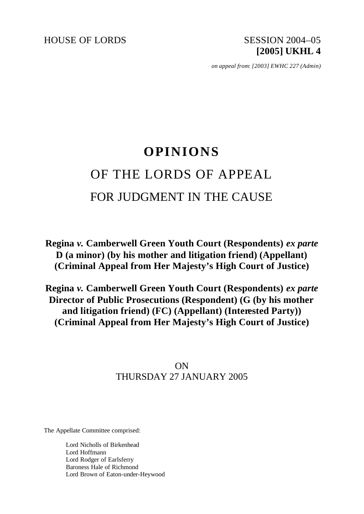HOUSE OF LORDS SESSION 2004–05

# **[2005] UKHL 4**

*on appeal from: [2003] EWHC 227 (Admin)*

## **OPINIONS** OF THE LORDS OF APPEAL FOR JUDGMENT IN THE CAUSE

**Regina** *v.* **Camberwell Green Youth Court (Respondents)** *ex parte* **D (a minor) (by his mother and litigation friend) (Appellant) (Criminal Appeal from Her Majesty's High Court of Justice)**

**Regina** *v.* **Camberwell Green Youth Court (Respondents)** *ex parte* **Director of Public Prosecutions (Respondent) (G (by his mother and litigation friend) (FC) (Appellant) (Interested Party)) (Criminal Appeal from Her Majesty's High Court of Justice)**

## ON THURSDAY 27 JANUARY 2005

The Appellate Committee comprised:

Lord Nicholls of Birkenhead Lord Hoffmann Lord Rodger of Earlsferry Baroness Hale of Richmond Lord Brown of Eaton-under-Heywood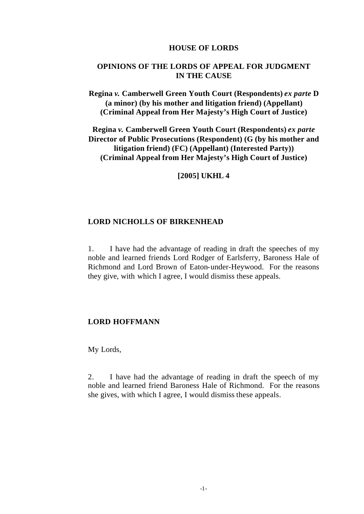#### **HOUSE OF LORDS**

## **OPINIONS OF THE LORDS OF APPEAL FOR JUDGMENT IN THE CAUSE**

**Regina** *v.* **Camberwell Green Youth Court (Respondents)** *ex parte* **D (a minor) (by his mother and litigation friend) (Appellant) (Criminal Appeal from Her Majesty's High Court of Justice)**

**Regina** *v.* **Camberwell Green Youth Court (Respondents)** *ex parte* **Director of Public Prosecutions (Respondent) (G (by his mother and litigation friend) (FC) (Appellant) (Interested Party)) (Criminal Appeal from Her Majesty's High Court of Justice)**

**[2005] UKHL 4**

#### **LORD NICHOLLS OF BIRKENHEAD**

1. I have had the advantage of reading in draft the speeches of my noble and learned friends Lord Rodger of Earlsferry, Baroness Hale of Richmond and Lord Brown of Eaton-under-Heywood. For the reasons they give, with which I agree, I would dismiss these appeals.

#### **LORD HOFFMANN**

My Lords,

2. I have had the advantage of reading in draft the speech of my noble and learned friend Baroness Hale of Richmond. For the reasons she gives, with which I agree, I would dismiss these appeals.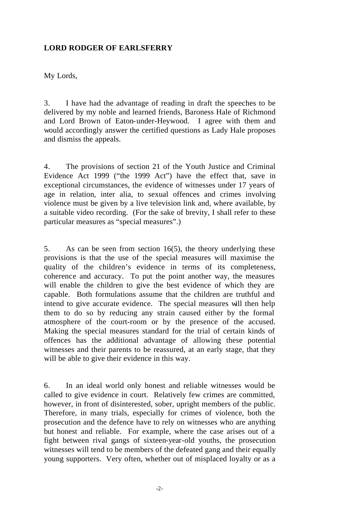## **LORD RODGER OF EARLSFERRY**

My Lords,

3. I have had the advantage of reading in draft the speeches to be delivered by my noble and learned friends, Baroness Hale of Richmond and Lord Brown of Eaton-under-Heywood. I agree with them and would accordingly answer the certified questions as Lady Hale proposes and dismiss the appeals.

4. The provisions of section 21 of the Youth Justice and Criminal Evidence Act 1999 ("the 1999 Act") have the effect that, save in exceptional circumstances, the evidence of witnesses under 17 years of age in relation, inter alia, to sexual offences and crimes involving violence must be given by a live television link and, where available, by a suitable video recording. (For the sake of brevity, I shall refer to these particular measures as "special measures".)

5. As can be seen from section 16(5), the theory underlying these provisions is that the use of the special measures will maximise the quality of the children's evidence in terms of its completeness, coherence and accuracy. To put the point another way, the measures will enable the children to give the best evidence of which they are capable. Both formulations assume that the children are truthful and intend to give accurate evidence. The special measures will then help them to do so by reducing any strain caused either by the formal atmosphere of the court-room or by the presence of the accused. Making the special measures standard for the trial of certain kinds of offences has the additional advantage of allowing these potential witnesses and their parents to be reassured, at an early stage, that they will be able to give their evidence in this way.

6. In an ideal world only honest and reliable witnesses would be called to give evidence in court. Relatively few crimes are committed, however, in front of disinterested, sober, upright members of the public. Therefore, in many trials, especially for crimes of violence, both the prosecution and the defence have to rely on witnesses who are anything but honest and reliable. For example, where the case arises out of a fight between rival gangs of sixteen-year-old youths, the prosecution witnesses will tend to be members of the defeated gang and their equally young supporters. Very often, whether out of misplaced loyalty or as a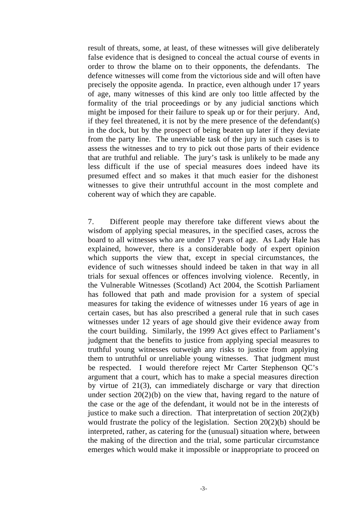result of threats, some, at least, of these witnesses will give deliberately false evidence that is designed to conceal the actual course of events in order to throw the blame on to their opponents, the defendants. The defence witnesses will come from the victorious side and will often have precisely the opposite agenda. In practice, even although under 17 years of age, many witnesses of this kind are only too little affected by the formality of the trial proceedings or by any judicial sanctions which might be imposed for their failure to speak up or for their perjury. And, if they feel threatened, it is not by the mere presence of the defendant(s) in the dock, but by the prospect of being beaten up later if they deviate from the party line. The unenviable task of the jury in such cases is to assess the witnesses and to try to pick out those parts of their evidence that are truthful and reliable. The jury's task is unlikely to be made any less difficult if the use of special measures does indeed have its presumed effect and so makes it that much easier for the dishonest witnesses to give their untruthful account in the most complete and coherent way of which they are capable.

7. Different people may therefore take different views about the wisdom of applying special measures, in the specified cases, across the board to all witnesses who are under 17 years of age. As Lady Hale has explained, however, there is a considerable body of expert opinion which supports the view that, except in special circumstances, the evidence of such witnesses should indeed be taken in that way in all trials for sexual offences or offences involving violence. Recently, in the Vulnerable Witnesses (Scotland) Act 2004, the Scottish Parliament has followed that path and made provision for a system of special measures for taking the evidence of witnesses under 16 years of age in certain cases, but has also prescribed a general rule that in such cases witnesses under 12 years of age should give their evidence away from the court building. Similarly, the 1999 Act gives effect to Parliament's judgment that the benefits to justice from applying special measures to truthful young witnesses outweigh any risks to justice from applying them to untruthful or unreliable young witnesses. That judgment must be respected. I would therefore reject Mr Carter Stephenson QC's argument that a court, which has to make a special measures direction by virtue of 21(3), can immediately discharge or vary that direction under section  $20(2)(b)$  on the view that, having regard to the nature of the case or the age of the defendant, it would not be in the interests of justice to make such a direction. That interpretation of section  $20(2)(b)$ would frustrate the policy of the legislation. Section 20(2)(b) should be interpreted, rather, as catering for the (unusual) situation where, between the making of the direction and the trial, some particular circumstance emerges which would make it impossible or inappropriate to proceed on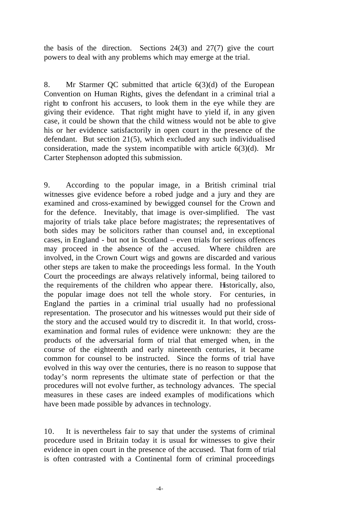the basis of the direction. Sections  $24(3)$  and  $27(7)$  give the court powers to deal with any problems which may emerge at the trial.

8. Mr Starmer QC submitted that article 6(3)(d) of the European Convention on Human Rights, gives the defendant in a criminal trial a right to confront his accusers, to look them in the eye while they are giving their evidence. That right might have to yield if, in any given case, it could be shown that the child witness would not be able to give his or her evidence satisfactorily in open court in the presence of the defendant. But section 21(5), which excluded any such individualised consideration, made the system incompatible with article  $6(3)(d)$ . Mr Carter Stephenson adopted this submission.

9. According to the popular image, in a British criminal trial witnesses give evidence before a robed judge and a jury and they are examined and cross-examined by bewigged counsel for the Crown and for the defence. Inevitably, that image is over-simplified. The vast majority of trials take place before magistrates; the representatives of both sides may be solicitors rather than counsel and, in exceptional cases, in England - but not in Scotland – even trials for serious offences may proceed in the absence of the accused. Where children are involved, in the Crown Court wigs and gowns are discarded and various other steps are taken to make the proceedings less formal. In the Youth Court the proceedings are always relatively informal, being tailored to the requirements of the children who appear there. Historically, also, the popular image does not tell the whole story. For centuries, in England the parties in a criminal trial usually had no professional representation. The prosecutor and his witnesses would put their side of the story and the accused would try to discredit it. In that world, crossexamination and formal rules of evidence were unknown: they are the products of the adversarial form of trial that emerged when, in the course of the eighteenth and early nineteenth centuries, it became common for counsel to be instructed. Since the forms of trial have evolved in this way over the centuries, there is no reason to suppose that today's norm represents the ultimate state of perfection or that the procedures will not evolve further, as technology advances. The special measures in these cases are indeed examples of modifications which have been made possible by advances in technology.

10. It is nevertheless fair to say that under the systems of criminal procedure used in Britain today it is usual for witnesses to give their evidence in open court in the presence of the accused. That form of trial is often contrasted with a Continental form of criminal proceedings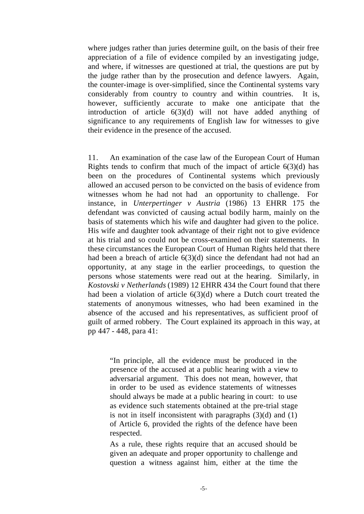where judges rather than juries determine guilt, on the basis of their free appreciation of a file of evidence compiled by an investigating judge, and where, if witnesses are questioned at trial, the questions are put by the judge rather than by the prosecution and defence lawyers. Again, the counter-image is over-simplified, since the Continental systems vary considerably from country to country and within countries. It is, however, sufficiently accurate to make one anticipate that the introduction of article 6(3)(d) will not have added anything of significance to any requirements of English law for witnesses to give their evidence in the presence of the accused.

11. An examination of the case law of the European Court of Human Rights tends to confirm that much of the impact of article  $6(3)(d)$  has been on the procedures of Continental systems which previously allowed an accused person to be convicted on the basis of evidence from witnesses whom he had not had an opportunity to challenge. For instance, in *Unterpertinger v Austria* (1986) 13 EHRR 175 the defendant was convicted of causing actual bodily harm, mainly on the basis of statements which his wife and daughter had given to the police. His wife and daughter took advantage of their right not to give evidence at his trial and so could not be cross-examined on their statements. In these circumstances the European Court of Human Rights held that there had been a breach of article 6(3)(d) since the defendant had not had an opportunity, at any stage in the earlier proceedings, to question the persons whose statements were read out at the hearing. Similarly, in *Kostovski v Netherlands* (1989) 12 EHRR 434 the Court found that there had been a violation of article 6(3)(d) where a Dutch court treated the statements of anonymous witnesses, who had been examined in the absence of the accused and his representatives, as sufficient proof of guilt of armed robbery. The Court explained its approach in this way, at pp 447 - 448, para 41:

"In principle, all the evidence must be produced in the presence of the accused at a public hearing with a view to adversarial argument. This does not mean, however, that in order to be used as evidence statements of witnesses should always be made at a public hearing in court: to use as evidence such statements obtained at the pre-trial stage is not in itself inconsistent with paragraphs  $(3)(d)$  and  $(1)$ of Article 6, provided the rights of the defence have been respected.

As a rule, these rights require that an accused should be given an adequate and proper opportunity to challenge and question a witness against him, either at the time the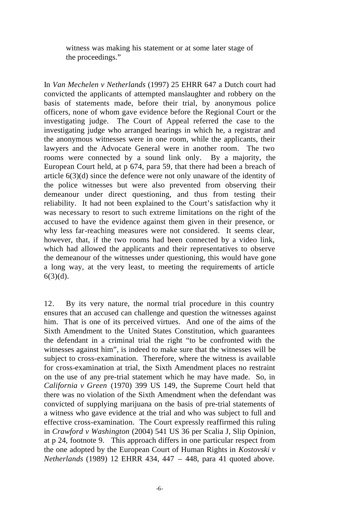witness was making his statement or at some later stage of the proceedings."

In *Van Mechelen v Netherlands* (1997) 25 EHRR 647 a Dutch court had convicted the applicants of attempted manslaughter and robbery on the basis of statements made, before their trial, by anonymous police officers, none of whom gave evidence before the Regional Court or the investigating judge. The Court of Appeal referred the case to the investigating judge who arranged hearings in which he, a registrar and the anonymous witnesses were in one room, while the applicants, their lawyers and the Advocate General were in another room. The two rooms were connected by a sound link only. By a majority, the European Court held, at p 674, para 59, that there had been a breach of article 6(3)(d) since the defence were not only unaware of the identity of the police witnesses but were also prevented from observing their demeanour under direct questioning, and thus from testing their reliability. It had not been explained to the Court's satisfaction why it was necessary to resort to such extreme limitations on the right of the accused to have the evidence against them given in their presence, or why less far-reaching measures were not considered. It seems clear, however, that, if the two rooms had been connected by a video link, which had allowed the applicants and their representatives to observe the demeanour of the witnesses under questioning, this would have gone a long way, at the very least, to meeting the requirements of article  $6(3)(d)$ .

12. By its very nature, the normal trial procedure in this country ensures that an accused can challenge and question the witnesses against him. That is one of its perceived virtues. And one of the aims of the Sixth Amendment to the United States Constitution, which guarantees the defendant in a criminal trial the right "to be confronted with the witnesses against him", is indeed to make sure that the witnesses will be subject to cross-examination. Therefore, where the witness is available for cross-examination at trial, the Sixth Amendment places no restraint on the use of any pre-trial statement which he may have made. So, in *California v Green* (1970) 399 US 149, the Supreme Court held that there was no violation of the Sixth Amendment when the defendant was convicted of supplying marijuana on the basis of pre-trial statements of a witness who gave evidence at the trial and who was subject to full and effective cross-examination. The Court expressly reaffirmed this ruling in *Crawford v Washington* (2004) 541 US 36 per Scalia J, Slip Opinion, at p 24, footnote 9. This approach differs in one particular respect from the one adopted by the European Court of Human Rights in *Kostovski v Netherlands* (1989) 12 EHRR 434, 447 – 448, para 41 quoted above.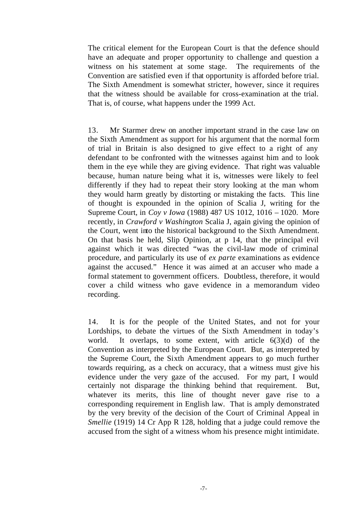The critical element for the European Court is that the defence should have an adequate and proper opportunity to challenge and question a witness on his statement at some stage. The requirements of the Convention are satisfied even if that opportunity is afforded before trial. The Sixth Amendment is somewhat stricter, however, since it requires that the witness should be available for cross-examination at the trial. That is, of course, what happens under the 1999 Act.

13. Mr Starmer drew on another important strand in the case law on the Sixth Amendment as support for his argument that the normal form of trial in Britain is also designed to give effect to a right of any defendant to be confronted with the witnesses against him and to look them in the eye while they are giving evidence. That right was valuable because, human nature being what it is, witnesses were likely to feel differently if they had to repeat their story looking at the man whom they would harm greatly by distorting or mistaking the facts. This line of thought is expounded in the opinion of Scalia J, writing for the Supreme Court, in *Coy v Iowa* (1988) 487 US 1012, 1016 – 1020. More recently, in *Crawford v Washington* Scalia J, again giving the opinion of the Court, went into the historical background to the Sixth Amendment. On that basis he held, Slip Opinion, at p 14, that the principal evil against which it was directed "was the civil-law mode of criminal procedure, and particularly its use of *ex parte* examinations as evidence against the accused." Hence it was aimed at an accuser who made a formal statement to government officers. Doubtless, therefore, it would cover a child witness who gave evidence in a memorandum video recording.

14. It is for the people of the United States, and not for your Lordships, to debate the virtues of the Sixth Amendment in today's world. It overlaps, to some extent, with article  $6(3)(d)$  of the Convention as interpreted by the European Court. But, as interpreted by the Supreme Court, the Sixth Amendment appears to go much further towards requiring, as a check on accuracy, that a witness must give his evidence under the very gaze of the accused. For my part, I would certainly not disparage the thinking behind that requirement. But, whatever its merits, this line of thought never gave rise to a corresponding requirement in English law. That is amply demonstrated by the very brevity of the decision of the Court of Criminal Appeal in *Smellie* (1919) 14 Cr App R 128, holding that a judge could remove the accused from the sight of a witness whom his presence might intimidate.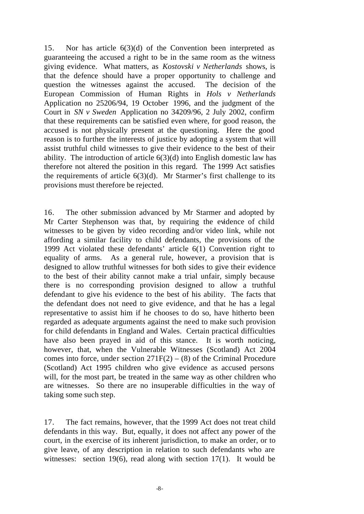15. Nor has article 6(3)(d) of the Convention been interpreted as guaranteeing the accused a right to be in the same room as the witness giving evidence. What matters, as *Kostovski v Netherlands* shows, is that the defence should have a proper opportunity to challenge and question the witnesses against the accused. The decision of the European Commission of Human Rights in *Hols v Netherlands* Application no 25206/94, 19 October 1996, and the judgment of the Court in *SN v Sweden* Application no 34209/96, 2 July 2002, confirm that these requirements can be satisfied even where, for good reason, the accused is not physically present at the questioning. Here the good reason is to further the interests of justice by adopting a system that will assist truthful child witnesses to give their evidence to the best of their ability. The introduction of article  $6(3)(d)$  into English domestic law has therefore not altered the position in this regard. The 1999 Act satisfies the requirements of article  $6(3)(d)$ . Mr Starmer's first challenge to its provisions must therefore be rejected.

16. The other submission advanced by Mr Starmer and adopted by Mr Carter Stephenson was that, by requiring the evidence of child witnesses to be given by video recording and/or video link, while not affording a similar facility to child defendants, the provisions of the 1999 Act violated these defendants' article 6(1) Convention right to equality of arms. As a general rule, however, a provision that is designed to allow truthful witnesses for both sides to give their evidence to the best of their ability cannot make a trial unfair, simply because there is no corresponding provision designed to allow a truthful defendant to give his evidence to the best of his ability. The facts that the defendant does not need to give evidence, and that he has a legal representative to assist him if he chooses to do so, have hitherto been regarded as adequate arguments against the need to make such provision for child defendants in England and Wales. Certain practical difficulties have also been prayed in aid of this stance. It is worth noticing, however, that, when the Vulnerable Witnesses (Scotland) Act 2004 comes into force, under section  $271F(2) - (8)$  of the Criminal Procedure (Scotland) Act 1995 children who give evidence as accused persons will, for the most part, be treated in the same way as other children who are witnesses. So there are no insuperable difficulties in the way of taking some such step.

17. The fact remains, however, that the 1999 Act does not treat child defendants in this way. But, equally, it does not affect any power of the court, in the exercise of its inherent jurisdiction, to make an order, or to give leave, of any description in relation to such defendants who are witnesses: section 19(6), read along with section 17(1). It would be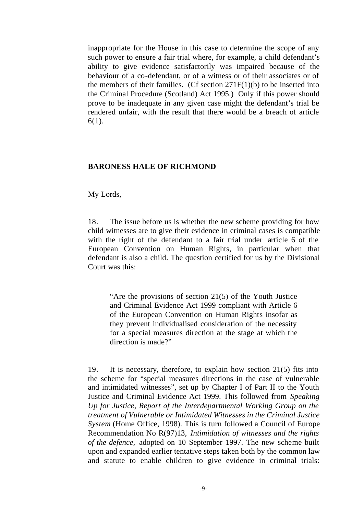inappropriate for the House in this case to determine the scope of any such power to ensure a fair trial where, for example, a child defendant's ability to give evidence satisfactorily was impaired because of the behaviour of a co-defendant, or of a witness or of their associates or of the members of their families. (Cf section  $271F(1)(b)$  to be inserted into the Criminal Procedure (Scotland) Act 1995.) Only if this power should prove to be inadequate in any given case might the defendant's trial be rendered unfair, with the result that there would be a breach of article 6(1).

#### **BARONESS HALE OF RICHMOND**

My Lords,

18. The issue before us is whether the new scheme providing for how child witnesses are to give their evidence in criminal cases is compatible with the right of the defendant to a fair trial under article 6 of the European Convention on Human Rights, in particular when that defendant is also a child. The question certified for us by the Divisional Court was this:

"Are the provisions of section 21(5) of the Youth Justice and Criminal Evidence Act 1999 compliant with Article 6 of the European Convention on Human Rights insofar as they prevent individualised consideration of the necessity for a special measures direction at the stage at which the direction is made?"

19. It is necessary, therefore, to explain how section 21(5) fits into the scheme for "special measures directions in the case of vulnerable and intimidated witnesses", set up by Chapter I of Part II to the Youth Justice and Criminal Evidence Act 1999. This followed from *Speaking Up for Justice, Report of the Interdepartmental Working Group on the treatment of Vulnerable or Intimidated Witnesses in the Criminal Justice System* (Home Office, 1998). This is turn followed a Council of Europe Recommendation No R(97)13, *Intimidation of witnesses and the rights of the defence,* adopted on 10 September 1997. The new scheme built upon and expanded earlier tentative steps taken both by the common law and statute to enable children to give evidence in criminal trials: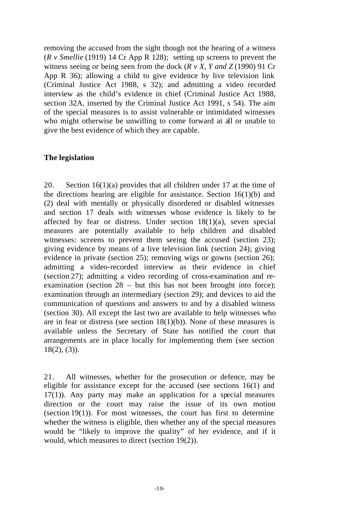removing the accused from the sight though not the hearing of a witness (*R v Smellie* (1919) 14 Cr App R 128); setting up screens to prevent the witness seeing or being seen from the dock (*R v X, Y and Z* (1990) 91 Cr App R 36); allowing a child to give evidence by live television link (Criminal Justice Act 1988, s 32); and admitting a video recorded interview as the child's evidence in chief (Criminal Justice Act 1988, section 32A, inserted by the Criminal Justice Act 1991, s 54). The aim of the special measures is to assist vulnerable or intimidated witnesses who might otherwise be unwilling to come forward at all or unable to give the best evidence of which they are capable.

#### **The legislation**

20. Section 16(1)(a) provides that all children under 17 at the time of the directions hearing are eligible for assistance. Section  $16(1)(b)$  and (2) deal with mentally or physically disordered or disabled witnesses and section 17 deals with witnesses whose evidence is likely to be affected by fear or distress. Under section 18(1)(a), seven special measures are potentially available to help children and disabled witnesses: screens to prevent them seeing the accused (section 23); giving evidence by means of a live television link (section 24); giving evidence in private (section 25); removing wigs or gowns (section 26); admitting a video-recorded interview as their evidence in chief (section 27); admitting a video recording of cross-examination and reexamination (section 28 – but this has not been brought into force); examination through an intermediary (section 29); and devices to aid the communication of questions and answers to and by a disabled witness (section 30). All except the last two are available to help witnesses who are in fear or distress (see section  $18(1)(b)$ ). None of these measures is available unless the Secretary of State has notified the court that arrangements are in place locally for implementing them (see section  $18(2), (3)$ .

21. All witnesses, whether for the prosecution or defence, may be eligible for assistance except for the accused (see sections 16(1) and 17(1)). Any party may make an application for a special measures direction or the court may raise the issue of its own motion (section  $19(1)$ ). For most witnesses, the court has first to determine whether the witness is eligible, then whether any of the special measures would be "likely to improve the quality" of her evidence, and if it would, which measures to direct (section 19(2)).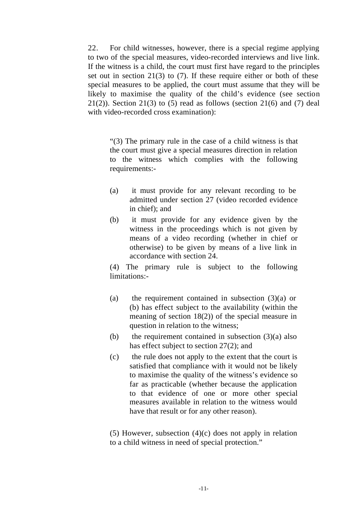22. For child witnesses, however, there is a special regime applying to two of the special measures, video-recorded interviews and live link. If the witness is a child, the court must first have regard to the principles set out in section  $21(3)$  to (7). If these require either or both of these special measures to be applied, the court must assume that they will be likely to maximise the quality of the child's evidence (see section  $21(2)$ ). Section  $21(3)$  to (5) read as follows (section  $21(6)$  and (7) deal with video-recorded cross examination):

"(3) The primary rule in the case of a child witness is that the court must give a special measures direction in relation to the witness which complies with the following requirements:-

- (a) it must provide for any relevant recording to be admitted under section 27 (video recorded evidence in chief); and
- (b) it must provide for any evidence given by the witness in the proceedings which is not given by means of a video recording (whether in chief or otherwise) to be given by means of a live link in accordance with section 24.

(4) The primary rule is subject to the following limitations:-

- (a) the requirement contained in subsection (3)(a) or (b) has effect subject to the availability (within the meaning of section 18(2)) of the special measure in question in relation to the witness;
- (b) the requirement contained in subsection  $(3)(a)$  also has effect subject to section 27(2); and
- (c) the rule does not apply to the extent that the court is satisfied that compliance with it would not be likely to maximise the quality of the witness's evidence so far as practicable (whether because the application to that evidence of one or more other special measures available in relation to the witness would have that result or for any other reason).

(5) However, subsection (4)(c) does not apply in relation to a child witness in need of special protection."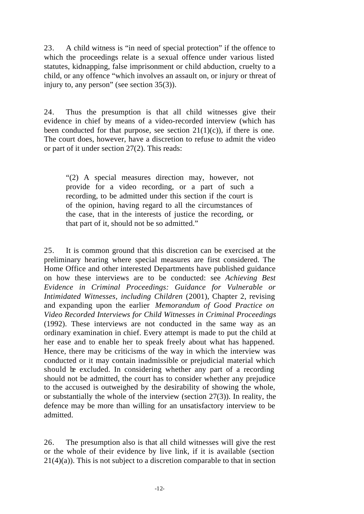23. A child witness is "in need of special protection" if the offence to which the proceedings relate is a sexual offence under various listed statutes, kidnapping, false imprisonment or child abduction, cruelty to a child, or any offence "which involves an assault on, or injury or threat of injury to, any person" (see section 35(3)).

24. Thus the presumption is that all child witnesses give their evidence in chief by means of a video-recorded interview (which has been conducted for that purpose, see section  $21(1)(c)$ ), if there is one. The court does, however, have a discretion to refuse to admit the video or part of it under section 27(2). This reads:

"(2) A special measures direction may, however, not provide for a video recording, or a part of such a recording, to be admitted under this section if the court is of the opinion, having regard to all the circumstances of the case, that in the interests of justice the recording, or that part of it, should not be so admitted."

25. It is common ground that this discretion can be exercised at the preliminary hearing where special measures are first considered. The Home Office and other interested Departments have published guidance on how these interviews are to be conducted: see *Achieving Best Evidence in Criminal Proceedings: Guidance for Vulnerable or Intimidated Witnesses, including Children* (2001), Chapter 2, revising and expanding upon the earlier *Memorandum of Good Practice on Video Recorded Interviews for Child Witnesses in Criminal Proceedings* (1992). These interviews are not conducted in the same way as an ordinary examination in chief. Every attempt is made to put the child at her ease and to enable her to speak freely about what has happened. Hence, there may be criticisms of the way in which the interview was conducted or it may contain inadmissible or prejudicial material which should be excluded. In considering whether any part of a recording should not be admitted, the court has to consider whether any prejudice to the accused is outweighed by the desirability of showing the whole, or substantially the whole of the interview (section 27(3)). In reality, the defence may be more than willing for an unsatisfactory interview to be admitted.

26. The presumption also is that all child witnesses will give the rest or the whole of their evidence by live link, if it is available (section  $21(4)(a)$ ). This is not subject to a discretion comparable to that in section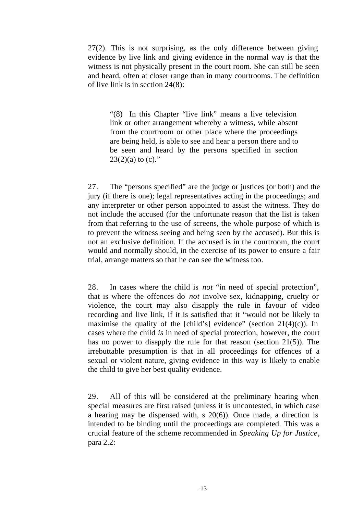27(2). This is not surprising, as the only difference between giving evidence by live link and giving evidence in the normal way is that the witness is not physically present in the court room. She can still be seen and heard, often at closer range than in many courtrooms. The definition of live link is in section 24(8):

"(8) In this Chapter "live link" means a live television link or other arrangement whereby a witness, while absent from the courtroom or other place where the proceedings are being held, is able to see and hear a person there and to be seen and heard by the persons specified in section  $23(2)(a)$  to (c)."

27. The "persons specified" are the judge or justices (or both) and the jury (if there is one); legal representatives acting in the proceedings; and any interpreter or other person appointed to assist the witness. They do not include the accused (for the unfortunate reason that the list is taken from that referring to the use of screens, the whole purpose of which is to prevent the witness seeing and being seen by the accused). But this is not an exclusive definition. If the accused is in the courtroom, the court would and normally should, in the exercise of its power to ensure a fair trial, arrange matters so that he can see the witness too.

28. In cases where the child is *not* "in need of special protection", that is where the offences do *not* involve sex, kidnapping, cruelty or violence, the court may also disapply the rule in favour of video recording and live link, if it is satisfied that it "would not be likely to maximise the quality of the [child's] evidence" (section  $21(4)(c)$ ). In cases where the child *is* in need of special protection, however, the court has no power to disapply the rule for that reason (section 21(5)). The irrebuttable presumption is that in all proceedings for offences of a sexual or violent nature, giving evidence in this way is likely to enable the child to give her best quality evidence.

29. All of this will be considered at the preliminary hearing when special measures are first raised (unless it is uncontested, in which case a hearing may be dispensed with, s 20(6)). Once made, a direction is intended to be binding until the proceedings are completed. This was a crucial feature of the scheme recommended in *Speaking Up for Justice*, para 2.2: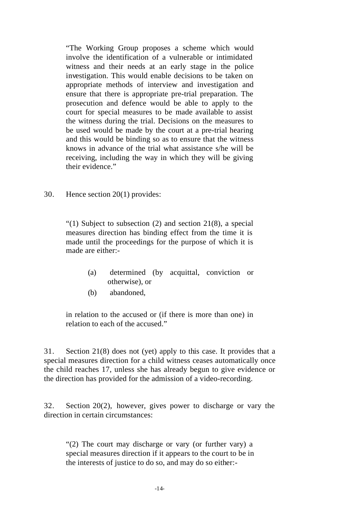"The Working Group proposes a scheme which would involve the identification of a vulnerable or intimidated witness and their needs at an early stage in the police investigation. This would enable decisions to be taken on appropriate methods of interview and investigation and ensure that there is appropriate pre-trial preparation. The prosecution and defence would be able to apply to the court for special measures to be made available to assist the witness during the trial. Decisions on the measures to be used would be made by the court at a pre-trial hearing and this would be binding so as to ensure that the witness knows in advance of the trial what assistance s/he will be receiving, including the way in which they will be giving their evidence."

30. Hence section 20(1) provides:

"(1) Subject to subsection  $(2)$  and section  $21(8)$ , a special measures direction has binding effect from the time it is made until the proceedings for the purpose of which it is made are either:-

- (a) determined (by acquittal, conviction or otherwise), or
- (b) abandoned,

in relation to the accused or (if there is more than one) in relation to each of the accused."

31. Section 21(8) does not (yet) apply to this case. It provides that a special measures direction for a child witness ceases automatically once the child reaches 17, unless she has already begun to give evidence or the direction has provided for the admission of a video-recording.

32. Section 20(2), however, gives power to discharge or vary the direction in certain circumstances:

"(2) The court may discharge or vary (or further vary) a special measures direction if it appears to the court to be in the interests of justice to do so, and may do so either:-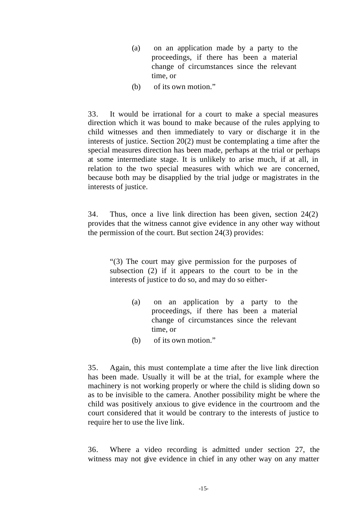- (a) on an application made by a party to the proceedings, if there has been a material change of circumstances since the relevant time, or
- (b) of its own motion."

33. It would be irrational for a court to make a special measures direction which it was bound to make because of the rules applying to child witnesses and then immediately to vary or discharge it in the interests of justice. Section 20(2) must be contemplating a time after the special measures direction has been made, perhaps at the trial or perhaps at some intermediate stage. It is unlikely to arise much, if at all, in relation to the two special measures with which we are concerned, because both may be disapplied by the trial judge or magistrates in the interests of justice.

34. Thus, once a live link direction has been given, section 24(2) provides that the witness cannot give evidence in any other way without the permission of the court. But section 24(3) provides:

"(3) The court may give permission for the purposes of subsection (2) if it appears to the court to be in the interests of justice to do so, and may do so either-

- (a) on an application by a party to the proceedings, if there has been a material change of circumstances since the relevant time, or
- (b) of its own motion."

35. Again, this must contemplate a time after the live link direction has been made. Usually it will be at the trial, for example where the machinery is not working properly or where the child is sliding down so as to be invisible to the camera. Another possibility might be where the child was positively anxious to give evidence in the courtroom and the court considered that it would be contrary to the interests of justice to require her to use the live link.

36. Where a video recording is admitted under section 27, the witness may not give evidence in chief in any other way on any matter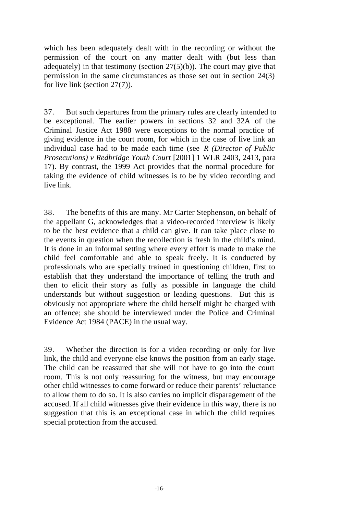which has been adequately dealt with in the recording or without the permission of the court on any matter dealt with (but less than adequately) in that testimony (section  $27(5)(b)$ ). The court may give that permission in the same circumstances as those set out in section 24(3) for live link (section 27(7)).

37. But such departures from the primary rules are clearly intended to be exceptional. The earlier powers in sections 32 and 32A of the Criminal Justice Act 1988 were exceptions to the normal practice of giving evidence in the court room, for which in the case of live link an individual case had to be made each time (see *R (Director of Public Prosecutions) v Redbridge Youth Court* [2001] 1 WLR 2403, 2413, para 17). By contrast, the 1999 Act provides that the normal procedure for taking the evidence of child witnesses is to be by video recording and live link.

38. The benefits of this are many. Mr Carter Stephenson, on behalf of the appellant G, acknowledges that a video-recorded interview is likely to be the best evidence that a child can give. It can take place close to the events in question when the recollection is fresh in the child's mind. It is done in an informal setting where every effort is made to make the child feel comfortable and able to speak freely. It is conducted by professionals who are specially trained in questioning children, first to establish that they understand the importance of telling the truth and then to elicit their story as fully as possible in language the child understands but without suggestion or leading questions. But this is obviously not appropriate where the child herself might be charged with an offence; she should be interviewed under the Police and Criminal Evidence Act 1984 (PACE) in the usual way.

39. Whether the direction is for a video recording or only for live link, the child and everyone else knows the position from an early stage. The child can be reassured that she will not have to go into the court room. This is not only reassuring for the witness, but may encourage other child witnesses to come forward or reduce their parents' reluctance to allow them to do so. It is also carries no implicit disparagement of the accused. If all child witnesses give their evidence in this way, there is no suggestion that this is an exceptional case in which the child requires special protection from the accused.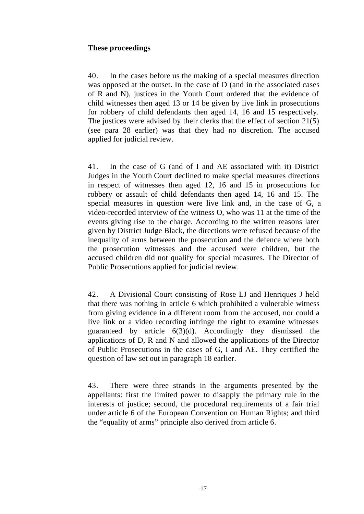## **These proceedings**

40. In the cases before us the making of a special measures direction was opposed at the outset. In the case of D (and in the associated cases of R and N), justices in the Youth Court ordered that the evidence of child witnesses then aged 13 or 14 be given by live link in prosecutions for robbery of child defendants then aged 14, 16 and 15 respectively. The justices were advised by their clerks that the effect of section 21(5) (see para 28 earlier) was that they had no discretion. The accused applied for judicial review.

41. In the case of G (and of I and AE associated with it) District Judges in the Youth Court declined to make special measures directions in respect of witnesses then aged 12, 16 and 15 in prosecutions for robbery or assault of child defendants then aged 14, 16 and 15. The special measures in question were live link and, in the case of G, a video-recorded interview of the witness O, who was 11 at the time of the events giving rise to the charge. According to the written reasons later given by District Judge Black, the directions were refused because of the inequality of arms between the prosecution and the defence where both the prosecution witnesses and the accused were children, but the accused children did not qualify for special measures. The Director of Public Prosecutions applied for judicial review.

42. A Divisional Court consisting of Rose LJ and Henriques J held that there was nothing in article 6 which prohibited a vulnerable witness from giving evidence in a different room from the accused, nor could a live link or a video recording infringe the right to examine witnesses guaranteed by article 6(3)(d). Accordingly they dismissed the applications of D, R and N and allowed the applications of the Director of Public Prosecutions in the cases of G, I and AE. They certified the question of law set out in paragraph 18 earlier.

43. There were three strands in the arguments presented by the appellants: first the limited power to disapply the primary rule in the interests of justice; second, the procedural requirements of a fair trial under article 6 of the European Convention on Human Rights; and third the "equality of arms" principle also derived from article 6.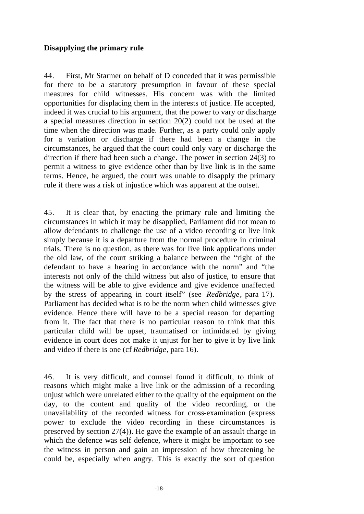## **Disapplying the primary rule**

44. First, Mr Starmer on behalf of D conceded that it was permissible for there to be a statutory presumption in favour of these special measures for child witnesses. His concern was with the limited opportunities for displacing them in the interests of justice. He accepted, indeed it was crucial to his argument, that the power to vary or discharge a special measures direction in section 20(2) could not be used at the time when the direction was made. Further, as a party could only apply for a variation or discharge if there had been a change in the circumstances, he argued that the court could only vary or discharge the direction if there had been such a change. The power in section 24(3) to permit a witness to give evidence other than by live link is in the same terms. Hence, he argued, the court was unable to disapply the primary rule if there was a risk of injustice which was apparent at the outset.

45. It is clear that, by enacting the primary rule and limiting the circumstances in which it may be disapplied, Parliament did not mean to allow defendants to challenge the use of a video recording or live link simply because it is a departure from the normal procedure in criminal trials. There is no question, as there was for live link applications under the old law, of the court striking a balance between the "right of the defendant to have a hearing in accordance with the norm" and "the interests not only of the child witness but also of justice, to ensure that the witness will be able to give evidence and give evidence unaffected by the stress of appearing in court itself" (see *Redbridge*, para 17). Parliament has decided what is to be the norm when child witnesses give evidence. Hence there will have to be a special reason for departing from it. The fact that there is no particular reason to think that this particular child will be upset, traumatised or intimidated by giving evidence in court does not make it unjust for her to give it by live link and video if there is one (cf *Redbridge*, para 16).

46. It is very difficult, and counsel found it difficult, to think of reasons which might make a live link or the admission of a recording unjust which were unrelated either to the quality of the equipment on the day, to the content and quality of the video recording, or the unavailability of the recorded witness for cross-examination (express power to exclude the video recording in these circumstances is preserved by section 27(4)). He gave the example of an assault charge in which the defence was self defence, where it might be important to see the witness in person and gain an impression of how threatening he could be, especially when angry. This is exactly the sort of question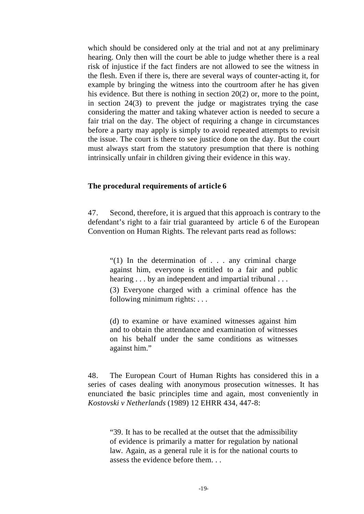which should be considered only at the trial and not at any preliminary hearing. Only then will the court be able to judge whether there is a real risk of injustice if the fact finders are not allowed to see the witness in the flesh. Even if there is, there are several ways of counter-acting it, for example by bringing the witness into the courtroom after he has given his evidence. But there is nothing in section 20(2) or, more to the point, in section 24(3) to prevent the judge or magistrates trying the case considering the matter and taking whatever action is needed to secure a fair trial on the day. The object of requiring a change in circumstances before a party may apply is simply to avoid repeated attempts to revisit the issue. The court is there to see justice done on the day. But the court must always start from the statutory presumption that there is nothing intrinsically unfair in children giving their evidence in this way.

#### **The procedural requirements of article 6**

47. Second, therefore, it is argued that this approach is contrary to the defendant's right to a fair trial guaranteed by article 6 of the European Convention on Human Rights. The relevant parts read as follows:

"(1) In the determination of  $\ldots$  any criminal charge against him, everyone is entitled to a fair and public hearing . . . by an independent and impartial tribunal . . . (3) Everyone charged with a criminal offence has the following minimum rights: . . .

(d) to examine or have examined witnesses against him and to obtain the attendance and examination of witnesses on his behalf under the same conditions as witnesses against him."

48. The European Court of Human Rights has considered this in a series of cases dealing with anonymous prosecution witnesses. It has enunciated the basic principles time and again, most conveniently in *Kostovski v Netherlands* (1989) 12 EHRR 434, 447-8:

"39. It has to be recalled at the outset that the admissibility of evidence is primarily a matter for regulation by national law. Again, as a general rule it is for the national courts to assess the evidence before them. . .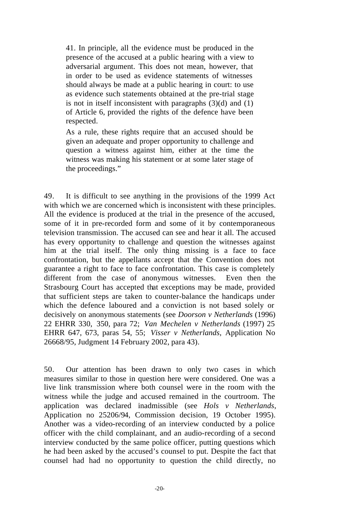41. In principle, all the evidence must be produced in the presence of the accused at a public hearing with a view to adversarial argument. This does not mean, however, that in order to be used as evidence statements of witnesses should always be made at a public hearing in court: to use as evidence such statements obtained at the pre-trial stage is not in itself inconsistent with paragraphs  $(3)(d)$  and  $(1)$ of Article 6, provided the rights of the defence have been respected.

As a rule, these rights require that an accused should be given an adequate and proper opportunity to challenge and question a witness against him, either at the time the witness was making his statement or at some later stage of the proceedings."

49. It is difficult to see anything in the provisions of the 1999 Act with which we are concerned which is inconsistent with these principles. All the evidence is produced at the trial in the presence of the accused, some of it in pre-recorded form and some of it by contemporaneous television transmission. The accused can see and hear it all. The accused has every opportunity to challenge and question the witnesses against him at the trial itself. The only thing missing is a face to face confrontation, but the appellants accept that the Convention does not guarantee a right to face to face confrontation. This case is completely different from the case of anonymous witnesses. Even then the Strasbourg Court has accepted that exceptions may be made, provided that sufficient steps are taken to counter-balance the handicaps under which the defence laboured and a conviction is not based solely or decisively on anonymous statements (see *Doorson v Netherlands* (1996) 22 EHRR 330, 350, para 72; *Van Mechelen v Netherlands* (1997) 25 EHRR 647, 673, paras 54, 55; *Visser v Netherlands,* Application No 26668/95, Judgment 14 February 2002, para 43).

50. Our attention has been drawn to only two cases in which measures similar to those in question here were considered. One was a live link transmission where both counsel were in the room with the witness while the judge and accused remained in the courtroom. The application was declared inadmissible (see *Hols v Netherlands*, Application no 25206/94, Commission decision, 19 October 1995). Another was a video-recording of an interview conducted by a police officer with the child complainant, and an audio-recording of a second interview conducted by the same police officer, putting questions which he had been asked by the accused's counsel to put. Despite the fact that counsel had had no opportunity to question the child directly, no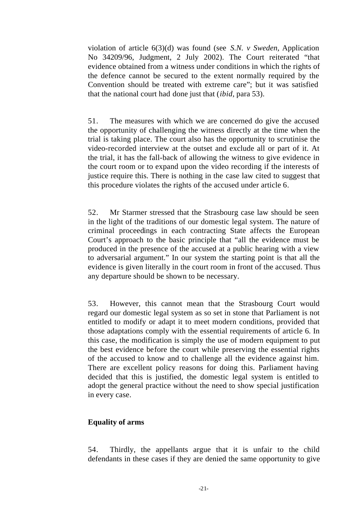violation of article 6(3)(d) was found (see *S.N. v Sweden*, Application No 34209/96, Judgment, 2 July 2002). The Court reiterated "that evidence obtained from a witness under conditions in which the rights of the defence cannot be secured to the extent normally required by the Convention should be treated with extreme care"; but it was satisfied that the national court had done just that (*ibid*, para 53).

51. The measures with which we are concerned do give the accused the opportunity of challenging the witness directly at the time when the trial is taking place. The court also has the opportunity to scrutinise the video-recorded interview at the outset and exclude all or part of it. At the trial, it has the fall-back of allowing the witness to give evidence in the court room or to expand upon the video recording if the interests of justice require this. There is nothing in the case law cited to suggest that this procedure violates the rights of the accused under article 6.

52. Mr Starmer stressed that the Strasbourg case law should be seen in the light of the traditions of our domestic legal system. The nature of criminal proceedings in each contracting State affects the European Court's approach to the basic principle that "all the evidence must be produced in the presence of the accused at a public hearing with a view to adversarial argument." In our system the starting point is that all the evidence is given literally in the court room in front of the accused. Thus any departure should be shown to be necessary.

53. However, this cannot mean that the Strasbourg Court would regard our domestic legal system as so set in stone that Parliament is not entitled to modify or adapt it to meet modern conditions, provided that those adaptations comply with the essential requirements of article 6. In this case, the modification is simply the use of modern equipment to put the best evidence before the court while preserving the essential rights of the accused to know and to challenge all the evidence against him. There are excellent policy reasons for doing this. Parliament having decided that this is justified, the domestic legal system is entitled to adopt the general practice without the need to show special justification in every case.

## **Equality of arms**

54. Thirdly, the appellants argue that it is unfair to the child defendants in these cases if they are denied the same opportunity to give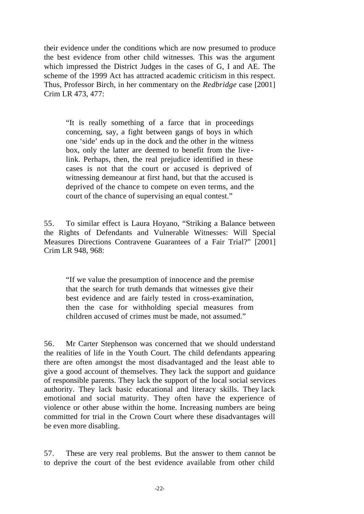their evidence under the conditions which are now presumed to produce the best evidence from other child witnesses. This was the argument which impressed the District Judges in the cases of G, I and AE. The scheme of the 1999 Act has attracted academic criticism in this respect. Thus, Professor Birch, in her commentary on the *Redbridge* case [2001] Crim LR 473, 477:

"It is really something of a farce that in proceedings concerning, say, a fight between gangs of boys in which one 'side' ends up in the dock and the other in the witness box, only the latter are deemed to benefit from the live link. Perhaps, then, the real prejudice identified in these cases is not that the court or accused is deprived of witnessing demeanour at first hand, but that the accused is deprived of the chance to compete on even terms, and the court of the chance of supervising an equal contest."

55. To similar effect is Laura Hoyano, "Striking a Balance between the Rights of Defendants and Vulnerable Witnesses: Will Special Measures Directions Contravene Guarantees of a Fair Trial?" [2001] Crim LR 948, 968:

"If we value the presumption of innocence and the premise that the search for truth demands that witnesses give their best evidence and are fairly tested in cross-examination, then the case for withholding special measures from children accused of crimes must be made, not assumed."

56. Mr Carter Stephenson was concerned that we should understand the realities of life in the Youth Court. The child defendants appearing there are often amongst the most disadvantaged and the least able to give a good account of themselves. They lack the support and guidance of responsible parents. They lack the support of the local social services authority. They lack basic educational and literacy skills. They lack emotional and social maturity. They often have the experience of violence or other abuse within the home. Increasing numbers are being committed for trial in the Crown Court where these disadvantages will be even more disabling.

57. These are very real problems. But the answer to them cannot be to deprive the court of the best evidence available from other child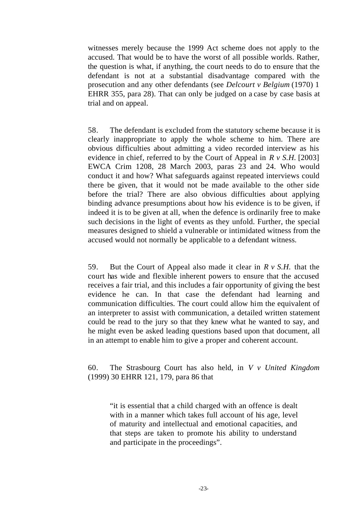witnesses merely because the 1999 Act scheme does not apply to the accused. That would be to have the worst of all possible worlds. Rather, the question is what, if anything, the court needs to do to ensure that the defendant is not at a substantial disadvantage compared with the prosecution and any other defendants (see *Delcourt v Belgium* (1970) 1 EHRR 355, para 28). That can only be judged on a case by case basis at trial and on appeal.

58. The defendant is excluded from the statutory scheme because it is clearly inappropriate to apply the whole scheme to him. There are obvious difficulties about admitting a video recorded interview as his evidence in chief, referred to by the Court of Appeal in *R v S.H.* [2003] EWCA Crim 1208, 28 March 2003, paras 23 and 24. Who would conduct it and how? What safeguards against repeated interviews could there be given, that it would not be made available to the other side before the trial? There are also obvious difficulties about applying binding advance presumptions about how his evidence is to be given, if indeed it is to be given at all, when the defence is ordinarily free to make such decisions in the light of events as they unfold. Further, the special measures designed to shield a vulnerable or intimidated witness from the accused would not normally be applicable to a defendant witness.

59. But the Court of Appeal also made it clear in *R v S.H.* that the court has wide and flexible inherent powers to ensure that the accused receives a fair trial, and this includes a fair opportunity of giving the best evidence he can. In that case the defendant had learning and communication difficulties. The court could allow him the equivalent of an interpreter to assist with communication, a detailed written statement could be read to the jury so that they knew what he wanted to say, and he might even be asked leading questions based upon that document, all in an attempt to enable him to give a proper and coherent account.

60. The Strasbourg Court has also held, in *V v United Kingdom* (1999) 30 EHRR 121, 179, para 86 that

"it is essential that a child charged with an offence is dealt with in a manner which takes full account of his age, level of maturity and intellectual and emotional capacities, and that steps are taken to promote his ability to understand and participate in the proceedings".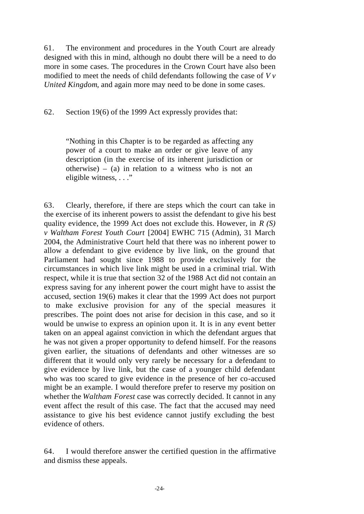61. The environment and procedures in the Youth Court are already designed with this in mind, although no doubt there will be a need to do more in some cases. The procedures in the Crown Court have also been modified to meet the needs of child defendants following the case of *V v United Kingdom*, and again more may need to be done in some cases.

62. Section 19(6) of the 1999 Act expressly provides that:

"Nothing in this Chapter is to be regarded as affecting any power of a court to make an order or give leave of any description (in the exercise of its inherent jurisdiction or otherwise) – (a) in relation to a witness who is not an eligible witness, . . ."

63. Clearly, therefore, if there are steps which the court can take in the exercise of its inherent powers to assist the defendant to give his best quality evidence, the 1999 Act does not exclude this. However, in *R (S) v Waltham Forest Youth Court* [2004] EWHC 715 (Admin), 31 March 2004, the Administrative Court held that there was no inherent power to allow a defendant to give evidence by live link, on the ground that Parliament had sought since 1988 to provide exclusively for the circumstances in which live link might be used in a criminal trial. With respect, while it is true that section 32 of the 1988 Act did not contain an express saving for any inherent power the court might have to assist the accused, section 19(6) makes it clear that the 1999 Act does not purport to make exclusive provision for any of the special measures it prescribes. The point does not arise for decision in this case, and so it would be unwise to express an opinion upon it. It is in any event better taken on an appeal against conviction in which the defendant argues that he was not given a proper opportunity to defend himself. For the reasons given earlier, the situations of defendants and other witnesses are so different that it would only very rarely be necessary for a defendant to give evidence by live link, but the case of a younger child defendant who was too scared to give evidence in the presence of her co-accused might be an example. I would therefore prefer to reserve my position on whether the *Waltham Forest* case was correctly decided. It cannot in any event affect the result of this case. The fact that the accused may need assistance to give his best evidence cannot justify excluding the best evidence of others.

64. I would therefore answer the certified question in the affirmative and dismiss these appeals.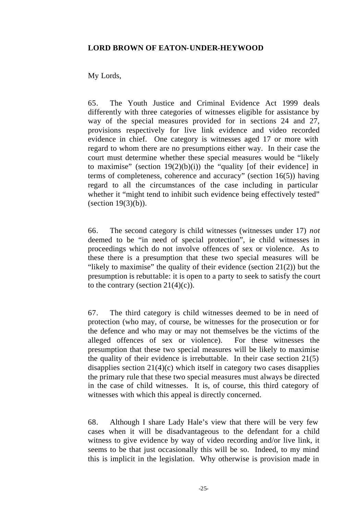#### **LORD BROWN OF EATON-UNDER-HEYWOOD**

## My Lords,

65. The Youth Justice and Criminal Evidence Act 1999 deals differently with three categories of witnesses eligible for assistance by way of the special measures provided for in sections 24 and 27, provisions respectively for live link evidence and video recorded evidence in chief. One category is witnesses aged 17 or more with regard to whom there are no presumptions either way. In their case the court must determine whether these special measures would be "likely to maximise" (section  $19(2)(b)(i)$ ) the "quality [of their evidence] in terms of completeness, coherence and accuracy" (section 16(5)) having regard to all the circumstances of the case including in particular whether it "might tend to inhibit such evidence being effectively tested"  $(section 19(3)(b)).$ 

66. The second category is child witnesses (witnesses under 17) *not* deemed to be "in need of special protection", ie child witnesses in proceedings which do not involve offences of sex or violence. As to these there is a presumption that these two special measures will be "likely to maximise" the quality of their evidence (section  $21(2)$ ) but the presumption is rebuttable: it is open to a party to seek to satisfy the court to the contrary (section  $21(4)(c)$ ).

67. The third category is child witnesses deemed to be in need of protection (who may, of course, be witnesses for the prosecution or for the defence and who may or may not themselves be the victims of the alleged offences of sex or violence). For these witnesses the presumption that these two special measures will be likely to maximise the quality of their evidence is irrebuttable. In their case section  $21(5)$ disapplies section 21(4)(c) which itself in category two cases disapplies the primary rule that these two special measures must always be directed in the case of child witnesses. It is, of course, this third category of witnesses with which this appeal is directly concerned.

68. Although I share Lady Hale's view that there will be very few cases when it will be disadvantageous to the defendant for a child witness to give evidence by way of video recording and/or live link, it seems to be that just occasionally this will be so. Indeed, to my mind this is implicit in the legislation. Why otherwise is provision made in